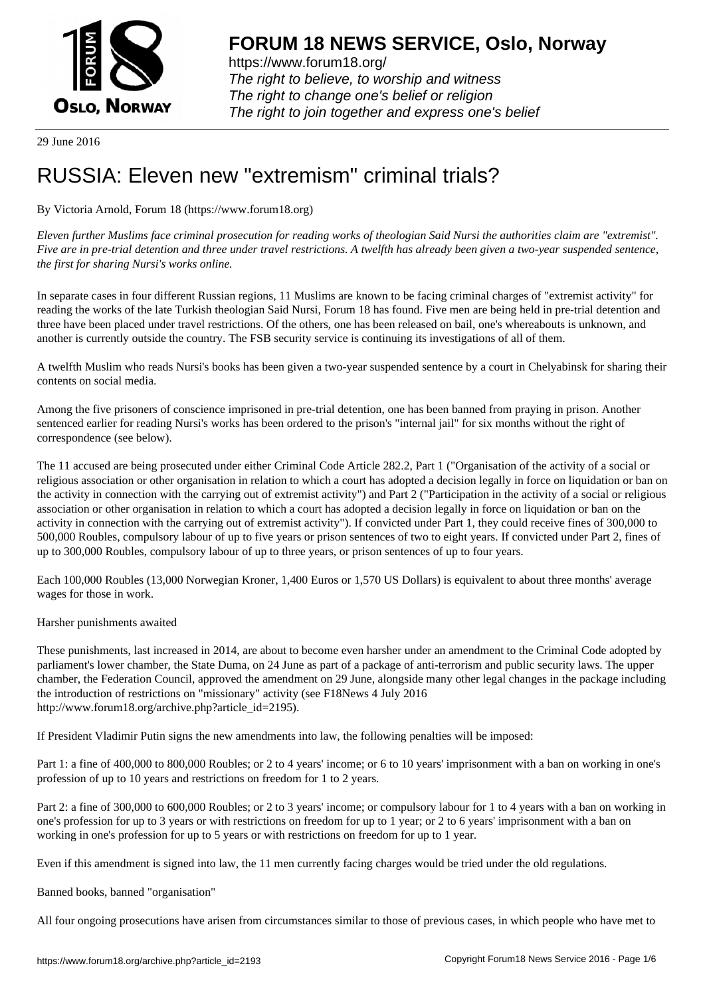

https://www.forum18.org/ The right to believe, to worship and witness The right to change one's belief or religion [The right to join together a](https://www.forum18.org/)nd express one's belief

29 June 2016

# [RUSSIA: Eleve](https://www.forum18.org)n new "extremism" criminal trials?

By Victoria Arnold, Forum 18 (https://www.forum18.org)

*Eleven further Muslims face criminal prosecution for reading works of theologian Said Nursi the authorities claim are "extremist". Five are in pre-trial detention and three under travel restrictions. A twelfth has already been given a two-year suspended sentence, the first for sharing Nursi's works online.*

In separate cases in four different Russian regions, 11 Muslims are known to be facing criminal charges of "extremist activity" for reading the works of the late Turkish theologian Said Nursi, Forum 18 has found. Five men are being held in pre-trial detention and three have been placed under travel restrictions. Of the others, one has been released on bail, one's whereabouts is unknown, and another is currently outside the country. The FSB security service is continuing its investigations of all of them.

A twelfth Muslim who reads Nursi's books has been given a two-year suspended sentence by a court in Chelyabinsk for sharing their contents on social media.

Among the five prisoners of conscience imprisoned in pre-trial detention, one has been banned from praying in prison. Another sentenced earlier for reading Nursi's works has been ordered to the prison's "internal jail" for six months without the right of correspondence (see below).

The 11 accused are being prosecuted under either Criminal Code Article 282.2, Part 1 ("Organisation of the activity of a social or religious association or other organisation in relation to which a court has adopted a decision legally in force on liquidation or ban on the activity in connection with the carrying out of extremist activity") and Part 2 ("Participation in the activity of a social or religious association or other organisation in relation to which a court has adopted a decision legally in force on liquidation or ban on the activity in connection with the carrying out of extremist activity"). If convicted under Part 1, they could receive fines of 300,000 to 500,000 Roubles, compulsory labour of up to five years or prison sentences of two to eight years. If convicted under Part 2, fines of up to 300,000 Roubles, compulsory labour of up to three years, or prison sentences of up to four years.

Each 100,000 Roubles (13,000 Norwegian Kroner, 1,400 Euros or 1,570 US Dollars) is equivalent to about three months' average wages for those in work.

Harsher punishments awaited

These punishments, last increased in 2014, are about to become even harsher under an amendment to the Criminal Code adopted by parliament's lower chamber, the State Duma, on 24 June as part of a package of anti-terrorism and public security laws. The upper chamber, the Federation Council, approved the amendment on 29 June, alongside many other legal changes in the package including the introduction of restrictions on "missionary" activity (see F18News 4 July 2016 http://www.forum18.org/archive.php?article\_id=2195).

If President Vladimir Putin signs the new amendments into law, the following penalties will be imposed:

Part 1: a fine of 400,000 to 800,000 Roubles; or 2 to 4 years' income; or 6 to 10 years' imprisonment with a ban on working in one's profession of up to 10 years and restrictions on freedom for 1 to 2 years.

Part 2: a fine of 300,000 to 600,000 Roubles; or 2 to 3 years' income; or compulsory labour for 1 to 4 years with a ban on working in one's profession for up to 3 years or with restrictions on freedom for up to 1 year; or 2 to 6 years' imprisonment with a ban on working in one's profession for up to 5 years or with restrictions on freedom for up to 1 year.

Even if this amendment is signed into law, the 11 men currently facing charges would be tried under the old regulations.

Banned books, banned "organisation"

All four ongoing prosecutions have arisen from circumstances similar to those of previous cases, in which people who have met to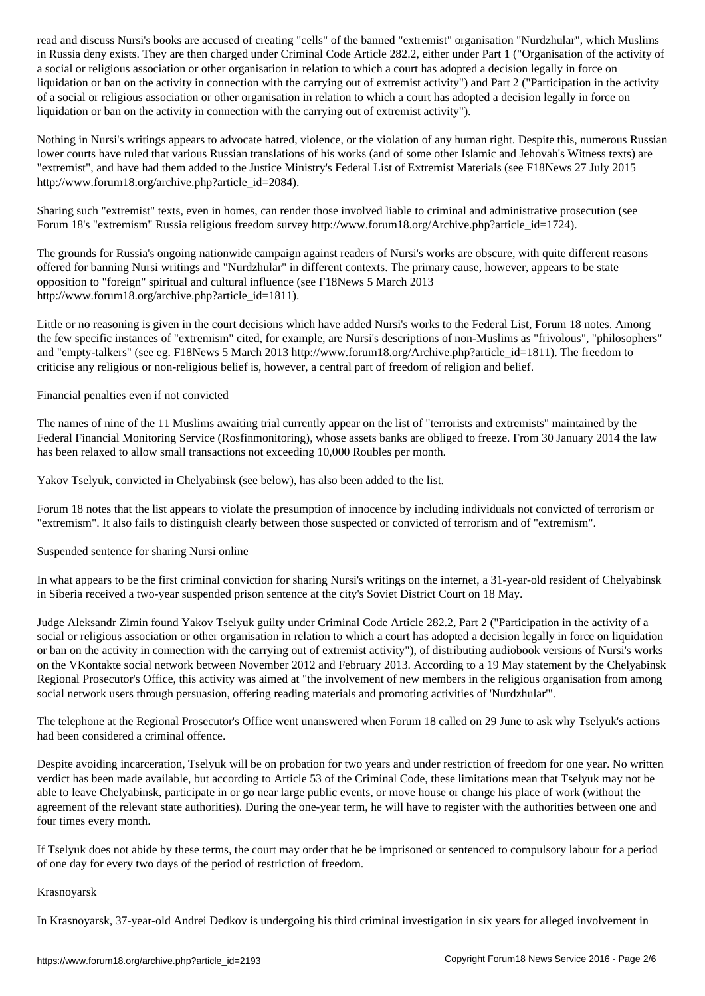in Russia deny exists. They are then charged under Criminal Code Article 282.2, either under Part 1 ("Organisation of the activity of a social or religious association or other organisation in relation to which a court has adopted a decision legally in force on liquidation or ban on the activity in connection with the carrying out of extremist activity") and Part 2 ("Participation in the activity of a social or religious association or other organisation in relation to which a court has adopted a decision legally in force on liquidation or ban on the activity in connection with the carrying out of extremist activity").

Nothing in Nursi's writings appears to advocate hatred, violence, or the violation of any human right. Despite this, numerous Russian lower courts have ruled that various Russian translations of his works (and of some other Islamic and Jehovah's Witness texts) are "extremist", and have had them added to the Justice Ministry's Federal List of Extremist Materials (see F18News 27 July 2015 http://www.forum18.org/archive.php?article\_id=2084).

Sharing such "extremist" texts, even in homes, can render those involved liable to criminal and administrative prosecution (see Forum 18's "extremism" Russia religious freedom survey http://www.forum18.org/Archive.php?article\_id=1724).

The grounds for Russia's ongoing nationwide campaign against readers of Nursi's works are obscure, with quite different reasons offered for banning Nursi writings and "Nurdzhular" in different contexts. The primary cause, however, appears to be state opposition to "foreign" spiritual and cultural influence (see F18News 5 March 2013 http://www.forum18.org/archive.php?article\_id=1811).

Little or no reasoning is given in the court decisions which have added Nursi's works to the Federal List, Forum 18 notes. Among the few specific instances of "extremism" cited, for example, are Nursi's descriptions of non-Muslims as "frivolous", "philosophers" and "empty-talkers" (see eg. F18News 5 March 2013 http://www.forum18.org/Archive.php?article\_id=1811). The freedom to criticise any religious or non-religious belief is, however, a central part of freedom of religion and belief.

Financial penalties even if not convicted

The names of nine of the 11 Muslims awaiting trial currently appear on the list of "terrorists and extremists" maintained by the Federal Financial Monitoring Service (Rosfinmonitoring), whose assets banks are obliged to freeze. From 30 January 2014 the law has been relaxed to allow small transactions not exceeding 10,000 Roubles per month.

Yakov Tselyuk, convicted in Chelyabinsk (see below), has also been added to the list.

Forum 18 notes that the list appears to violate the presumption of innocence by including individuals not convicted of terrorism or "extremism". It also fails to distinguish clearly between those suspected or convicted of terrorism and of "extremism".

Suspended sentence for sharing Nursi online

In what appears to be the first criminal conviction for sharing Nursi's writings on the internet, a 31-year-old resident of Chelyabinsk in Siberia received a two-year suspended prison sentence at the city's Soviet District Court on 18 May.

Judge Aleksandr Zimin found Yakov Tselyuk guilty under Criminal Code Article 282.2, Part 2 ("Participation in the activity of a social or religious association or other organisation in relation to which a court has adopted a decision legally in force on liquidation or ban on the activity in connection with the carrying out of extremist activity"), of distributing audiobook versions of Nursi's works on the VKontakte social network between November 2012 and February 2013. According to a 19 May statement by the Chelyabinsk Regional Prosecutor's Office, this activity was aimed at "the involvement of new members in the religious organisation from among social network users through persuasion, offering reading materials and promoting activities of 'Nurdzhular'".

The telephone at the Regional Prosecutor's Office went unanswered when Forum 18 called on 29 June to ask why Tselyuk's actions had been considered a criminal offence.

Despite avoiding incarceration, Tselyuk will be on probation for two years and under restriction of freedom for one year. No written verdict has been made available, but according to Article 53 of the Criminal Code, these limitations mean that Tselyuk may not be able to leave Chelyabinsk, participate in or go near large public events, or move house or change his place of work (without the agreement of the relevant state authorities). During the one-year term, he will have to register with the authorities between one and four times every month.

If Tselyuk does not abide by these terms, the court may order that he be imprisoned or sentenced to compulsory labour for a period of one day for every two days of the period of restriction of freedom.

# Krasnoyarsk

In Krasnoyarsk, 37-year-old Andrei Dedkov is undergoing his third criminal investigation in six years for alleged involvement in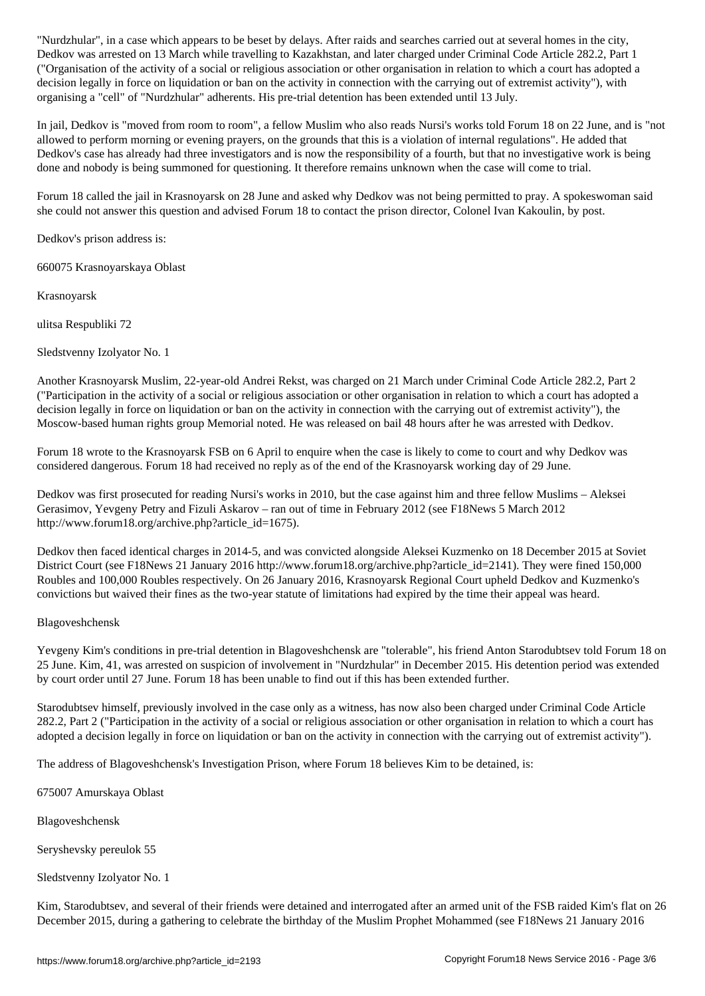Dedkov was arrested on 13 March while travelling to Kazakhstan, and later charged under Criminal Code Article 282.2, Part 1 ("Organisation of the activity of a social or religious association or other organisation in relation to which a court has adopted a decision legally in force on liquidation or ban on the activity in connection with the carrying out of extremist activity"), with organising a "cell" of "Nurdzhular" adherents. His pre-trial detention has been extended until 13 July.

In jail, Dedkov is "moved from room to room", a fellow Muslim who also reads Nursi's works told Forum 18 on 22 June, and is "not allowed to perform morning or evening prayers, on the grounds that this is a violation of internal regulations". He added that Dedkov's case has already had three investigators and is now the responsibility of a fourth, but that no investigative work is being done and nobody is being summoned for questioning. It therefore remains unknown when the case will come to trial.

Forum 18 called the jail in Krasnoyarsk on 28 June and asked why Dedkov was not being permitted to pray. A spokeswoman said she could not answer this question and advised Forum 18 to contact the prison director, Colonel Ivan Kakoulin, by post.

Dedkov's prison address is:

660075 Krasnoyarskaya Oblast

Krasnoyarsk

ulitsa Respubliki 72

Sledstvenny Izolyator No. 1

Another Krasnoyarsk Muslim, 22-year-old Andrei Rekst, was charged on 21 March under Criminal Code Article 282.2, Part 2 ("Participation in the activity of a social or religious association or other organisation in relation to which a court has adopted a decision legally in force on liquidation or ban on the activity in connection with the carrying out of extremist activity"), the Moscow-based human rights group Memorial noted. He was released on bail 48 hours after he was arrested with Dedkov.

Forum 18 wrote to the Krasnoyarsk FSB on 6 April to enquire when the case is likely to come to court and why Dedkov was considered dangerous. Forum 18 had received no reply as of the end of the Krasnoyarsk working day of 29 June.

Dedkov was first prosecuted for reading Nursi's works in 2010, but the case against him and three fellow Muslims – Aleksei Gerasimov, Yevgeny Petry and Fizuli Askarov – ran out of time in February 2012 (see F18News 5 March 2012 http://www.forum18.org/archive.php?article\_id=1675).

Dedkov then faced identical charges in 2014-5, and was convicted alongside Aleksei Kuzmenko on 18 December 2015 at Soviet District Court (see F18News 21 January 2016 http://www.forum18.org/archive.php?article\_id=2141). They were fined 150,000 Roubles and 100,000 Roubles respectively. On 26 January 2016, Krasnoyarsk Regional Court upheld Dedkov and Kuzmenko's convictions but waived their fines as the two-year statute of limitations had expired by the time their appeal was heard.

# Blagoveshchensk

Yevgeny Kim's conditions in pre-trial detention in Blagoveshchensk are "tolerable", his friend Anton Starodubtsev told Forum 18 on 25 June. Kim, 41, was arrested on suspicion of involvement in "Nurdzhular" in December 2015. His detention period was extended by court order until 27 June. Forum 18 has been unable to find out if this has been extended further.

Starodubtsev himself, previously involved in the case only as a witness, has now also been charged under Criminal Code Article 282.2, Part 2 ("Participation in the activity of a social or religious association or other organisation in relation to which a court has adopted a decision legally in force on liquidation or ban on the activity in connection with the carrying out of extremist activity").

The address of Blagoveshchensk's Investigation Prison, where Forum 18 believes Kim to be detained, is:

675007 Amurskaya Oblast

Blagoveshchensk

Seryshevsky pereulok 55

Sledstvenny Izolyator No. 1

Kim, Starodubtsev, and several of their friends were detained and interrogated after an armed unit of the FSB raided Kim's flat on 26 December 2015, during a gathering to celebrate the birthday of the Muslim Prophet Mohammed (see F18News 21 January 2016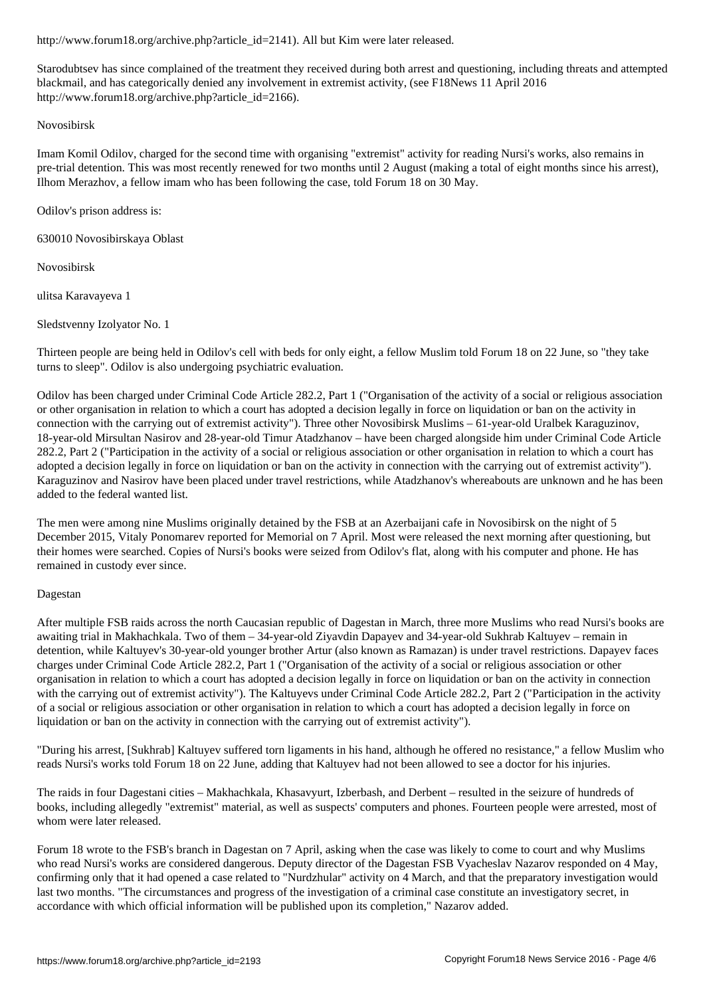Starodubtsev has since complained of the treatment they received during both arrest and questioning, including threats and attempted blackmail, and has categorically denied any involvement in extremist activity, (see F18News 11 April 2016 http://www.forum18.org/archive.php?article\_id=2166).

### Novosibirsk

Imam Komil Odilov, charged for the second time with organising "extremist" activity for reading Nursi's works, also remains in pre-trial detention. This was most recently renewed for two months until 2 August (making a total of eight months since his arrest), Ilhom Merazhov, a fellow imam who has been following the case, told Forum 18 on 30 May.

Odilov's prison address is:

630010 Novosibirskaya Oblast

Novosibirsk

ulitsa Karavayeva 1

Sledstvenny Izolyator No. 1

Thirteen people are being held in Odilov's cell with beds for only eight, a fellow Muslim told Forum 18 on 22 June, so "they take turns to sleep". Odilov is also undergoing psychiatric evaluation.

Odilov has been charged under Criminal Code Article 282.2, Part 1 ("Organisation of the activity of a social or religious association or other organisation in relation to which a court has adopted a decision legally in force on liquidation or ban on the activity in connection with the carrying out of extremist activity"). Three other Novosibirsk Muslims – 61-year-old Uralbek Karaguzinov, 18-year-old Mirsultan Nasirov and 28-year-old Timur Atadzhanov – have been charged alongside him under Criminal Code Article 282.2, Part 2 ("Participation in the activity of a social or religious association or other organisation in relation to which a court has adopted a decision legally in force on liquidation or ban on the activity in connection with the carrying out of extremist activity"). Karaguzinov and Nasirov have been placed under travel restrictions, while Atadzhanov's whereabouts are unknown and he has been added to the federal wanted list.

The men were among nine Muslims originally detained by the FSB at an Azerbaijani cafe in Novosibirsk on the night of 5 December 2015, Vitaly Ponomarev reported for Memorial on 7 April. Most were released the next morning after questioning, but their homes were searched. Copies of Nursi's books were seized from Odilov's flat, along with his computer and phone. He has remained in custody ever since.

#### Dagestan

After multiple FSB raids across the north Caucasian republic of Dagestan in March, three more Muslims who read Nursi's books are awaiting trial in Makhachkala. Two of them – 34-year-old Ziyavdin Dapayev and 34-year-old Sukhrab Kaltuyev – remain in detention, while Kaltuyev's 30-year-old younger brother Artur (also known as Ramazan) is under travel restrictions. Dapayev faces charges under Criminal Code Article 282.2, Part 1 ("Organisation of the activity of a social or religious association or other organisation in relation to which a court has adopted a decision legally in force on liquidation or ban on the activity in connection with the carrying out of extremist activity"). The Kaltuyevs under Criminal Code Article 282.2, Part 2 ("Participation in the activity"). of a social or religious association or other organisation in relation to which a court has adopted a decision legally in force on liquidation or ban on the activity in connection with the carrying out of extremist activity").

"During his arrest, [Sukhrab] Kaltuyev suffered torn ligaments in his hand, although he offered no resistance," a fellow Muslim who reads Nursi's works told Forum 18 on 22 June, adding that Kaltuyev had not been allowed to see a doctor for his injuries.

The raids in four Dagestani cities – Makhachkala, Khasavyurt, Izberbash, and Derbent – resulted in the seizure of hundreds of books, including allegedly "extremist" material, as well as suspects' computers and phones. Fourteen people were arrested, most of whom were later released.

Forum 18 wrote to the FSB's branch in Dagestan on 7 April, asking when the case was likely to come to court and why Muslims who read Nursi's works are considered dangerous. Deputy director of the Dagestan FSB Vyacheslav Nazarov responded on 4 May, confirming only that it had opened a case related to "Nurdzhular" activity on 4 March, and that the preparatory investigation would last two months. "The circumstances and progress of the investigation of a criminal case constitute an investigatory secret, in accordance with which official information will be published upon its completion," Nazarov added.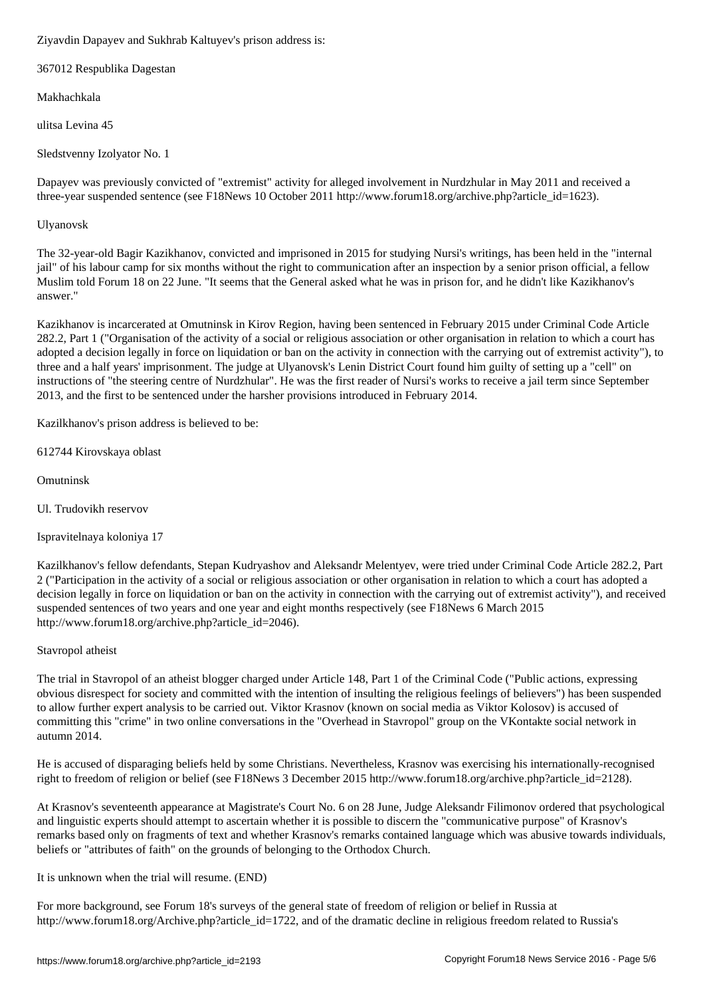367012 Respublika Dagestan

Makhachkala

ulitsa Levina 45

Sledstvenny Izolyator No. 1

Dapayev was previously convicted of "extremist" activity for alleged involvement in Nurdzhular in May 2011 and received a three-year suspended sentence (see F18News 10 October 2011 http://www.forum18.org/archive.php?article\_id=1623).

# Ulyanovsk

The 32-year-old Bagir Kazikhanov, convicted and imprisoned in 2015 for studying Nursi's writings, has been held in the "internal jail" of his labour camp for six months without the right to communication after an inspection by a senior prison official, a fellow Muslim told Forum 18 on 22 June. "It seems that the General asked what he was in prison for, and he didn't like Kazikhanov's answer."

Kazikhanov is incarcerated at Omutninsk in Kirov Region, having been sentenced in February 2015 under Criminal Code Article 282.2, Part 1 ("Organisation of the activity of a social or religious association or other organisation in relation to which a court has adopted a decision legally in force on liquidation or ban on the activity in connection with the carrying out of extremist activity"), to three and a half years' imprisonment. The judge at Ulyanovsk's Lenin District Court found him guilty of setting up a "cell" on instructions of "the steering centre of Nurdzhular". He was the first reader of Nursi's works to receive a jail term since September 2013, and the first to be sentenced under the harsher provisions introduced in February 2014.

Kazilkhanov's prison address is believed to be:

612744 Kirovskaya oblast

Omutninsk

Ul. Trudovikh reservov

Ispravitelnaya koloniya 17

Kazilkhanov's fellow defendants, Stepan Kudryashov and Aleksandr Melentyev, were tried under Criminal Code Article 282.2, Part 2 ("Participation in the activity of a social or religious association or other organisation in relation to which a court has adopted a decision legally in force on liquidation or ban on the activity in connection with the carrying out of extremist activity"), and received suspended sentences of two years and one year and eight months respectively (see F18News 6 March 2015 http://www.forum18.org/archive.php?article\_id=2046).

# Stavropol atheist

The trial in Stavropol of an atheist blogger charged under Article 148, Part 1 of the Criminal Code ("Public actions, expressing obvious disrespect for society and committed with the intention of insulting the religious feelings of believers") has been suspended to allow further expert analysis to be carried out. Viktor Krasnov (known on social media as Viktor Kolosov) is accused of committing this "crime" in two online conversations in the "Overhead in Stavropol" group on the VKontakte social network in autumn 2014.

He is accused of disparaging beliefs held by some Christians. Nevertheless, Krasnov was exercising his internationally-recognised right to freedom of religion or belief (see F18News 3 December 2015 http://www.forum18.org/archive.php?article\_id=2128).

At Krasnov's seventeenth appearance at Magistrate's Court No. 6 on 28 June, Judge Aleksandr Filimonov ordered that psychological and linguistic experts should attempt to ascertain whether it is possible to discern the "communicative purpose" of Krasnov's remarks based only on fragments of text and whether Krasnov's remarks contained language which was abusive towards individuals, beliefs or "attributes of faith" on the grounds of belonging to the Orthodox Church.

It is unknown when the trial will resume. (END)

For more background, see Forum 18's surveys of the general state of freedom of religion or belief in Russia at http://www.forum18.org/Archive.php?article\_id=1722, and of the dramatic decline in religious freedom related to Russia's